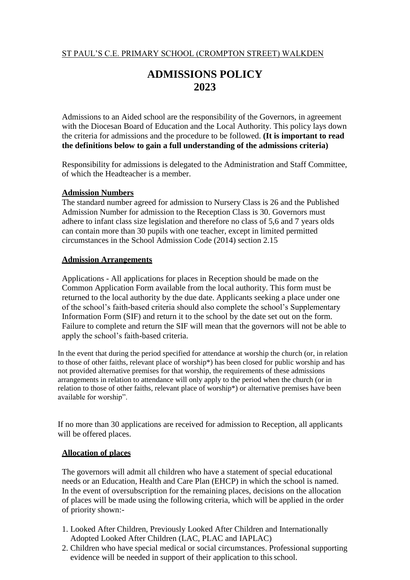# ST PAUL'S C.E. PRIMARY SCHOOL (CROMPTON STREET) WALKDEN

# **ADMISSIONS POLICY 2023**

Admissions to an Aided school are the responsibility of the Governors, in agreement with the Diocesan Board of Education and the Local Authority. This policy lays down the criteria for admissions and the procedure to be followed. **(It is important to read the definitions below to gain a full understanding of the admissions criteria)**

Responsibility for admissions is delegated to the Administration and Staff Committee, of which the Headteacher is a member.

#### **Admission Numbers**

The standard number agreed for admission to Nursery Class is 26 and the Published Admission Number for admission to the Reception Class is 30. Governors must adhere to infant class size legislation and therefore no class of 5,6 and 7 years olds can contain more than 30 pupils with one teacher, except in limited permitted circumstances in the School Admission Code (2014) section 2.15

### **Admission Arrangements**

Applications - All applications for places in Reception should be made on the Common Application Form available from the local authority. This form must be returned to the local authority by the due date. Applicants seeking a place under one of the school's faith-based criteria should also complete the school's Supplementary Information Form (SIF) and return it to the school by the date set out on the form. Failure to complete and return the SIF will mean that the governors will not be able to apply the school's faith-based criteria.

In the event that during the period specified for attendance at worship the church (or, in relation to those of other faiths, relevant place of worship\*) has been closed for public worship and has not provided alternative premises for that worship, the requirements of these admissions arrangements in relation to attendance will only apply to the period when the church (or in relation to those of other faiths, relevant place of worship\*) or alternative premises have been available for worship".

If no more than 30 applications are received for admission to Reception, all applicants will be offered places.

#### **Allocation of places**

The governors will admit all children who have a statement of special educational needs or an Education, Health and Care Plan (EHCP) in which the school is named. In the event of oversubscription for the remaining places, decisions on the allocation of places will be made using the following criteria, which will be applied in the order of priority shown:-

- 1. Looked After Children, Previously Looked After Children and Internationally Adopted Looked After Children (LAC, PLAC and IAPLAC)
- 2. Children who have special medical or social circumstances. Professional supporting evidence will be needed in support of their application to this school.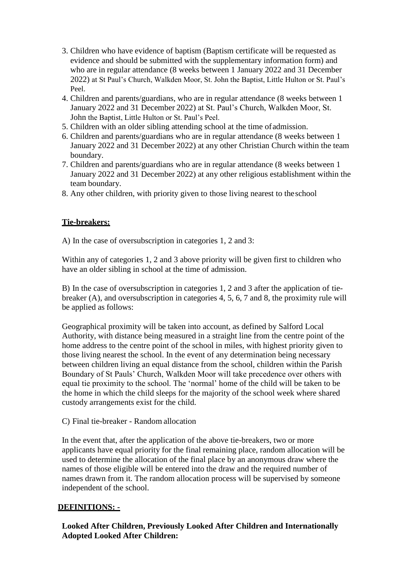- 3. Children who have evidence of baptism (Baptism certificate will be requested as evidence and should be submitted with the supplementary information form) and who are in regular attendance (8 weeks between 1 January 2022 and 31 December 2022) at St Paul's Church, Walkden Moor, St. John the Baptist, Little Hulton or St. Paul's Peel.
- 4. Children and parents/guardians, who are in regular attendance (8 weeks between 1 January 2022 and 31 December 2022) at St. Paul's Church, Walkden Moor, St. John the Baptist, Little Hulton or St. Paul's Peel.
- 5. Children with an older sibling attending school at the time ofadmission.
- 6. Children and parents/guardians who are in regular attendance (8 weeks between 1 January 2022 and 31 December 2022) at any other Christian Church within the team boundary.
- 7. Children and parents/guardians who are in regular attendance (8 weeks between 1 January 2022 and 31 December 2022) at any other religious establishment within the team boundary.
- 8. Any other children, with priority given to those living nearest to theschool

# **Tie-breakers:**

A) In the case of oversubscription in categories 1, 2 and 3:

Within any of categories 1, 2 and 3 above priority will be given first to children who have an older sibling in school at the time of admission.

B) In the case of oversubscription in categories 1, 2 and 3 after the application of tiebreaker (A), and oversubscription in categories 4, 5, 6, 7 and 8, the proximity rule will be applied as follows:

Geographical proximity will be taken into account, as defined by Salford Local Authority, with distance being measured in a straight line from the centre point of the home address to the centre point of the school in miles, with highest priority given to those living nearest the school. In the event of any determination being necessary between children living an equal distance from the school, children within the Parish Boundary of St Pauls' Church, Walkden Moor will take precedence over others with equal tie proximity to the school. The 'normal' home of the child will be taken to be the home in which the child sleeps for the majority of the school week where shared custody arrangements exist for the child.

## C) Final tie-breaker - Random allocation

In the event that, after the application of the above tie-breakers, two or more applicants have equal priority for the final remaining place, random allocation will be used to determine the allocation of the final place by an anonymous draw where the names of those eligible will be entered into the draw and the required number of names drawn from it. The random allocation process will be supervised by someone independent of the school.

## **DEFINITIONS: -**

**Looked After Children, Previously Looked After Children and Internationally Adopted Looked After Children:**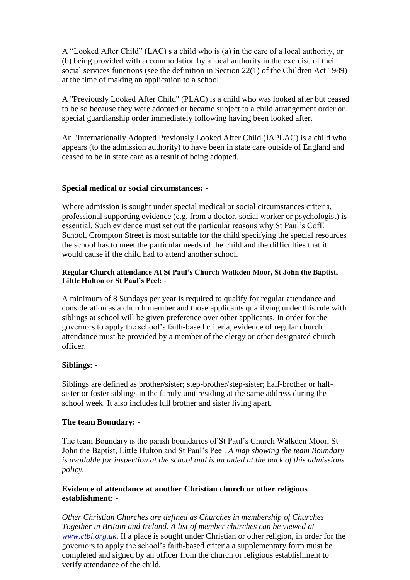A "Looked After Child" (LAC) s a child who is (a) in the care of a local authority, or (b) being provided with accommodation by a local authority in the exercise of their social services functions (see the definition in Section 22(1) of the Children Act 1989) at the time of making an application to a school.

A "Previously Looked After Child" (PLAC) is a child who was looked after but ceased to be so because they were adopted or became subject to a child arrangement order or special guardianship order immediately following having been looked after.

An "Internationally Adopted Previously Looked After Child (IAPLAC) is a child who appears (to the admission authority) to have been in state care outside of England and ceased to be in state care as a result of being adopted.

# **Special medical or social circumstances: -**

Where admission is sought under special medical or social circumstances criteria, professional supporting evidence (e.g. from a doctor, social worker or psychologist) is essential. Such evidence must set out the particular reasons why St Paul's CofE School, Crompton Street is most suitable for the child specifying the special resources the school has to meet the particular needs of the child and the difficulties that it would cause if the child had to attend another school.

# **Regular Church attendance At St Paul's Church Walkden Moor, St John the Baptist, Little Hulton or St Paul's Peel: -**

A minimum of 8 Sundays per year is required to qualify for regular attendance and consideration as a church member and those applicants qualifying under this rule with siblings at school will be given preference over other applicants. In order for the governors to apply the school's faith-based criteria, evidence of regular church attendance must be provided by a member of the clergy or other designated church officer.

# **Siblings: -**

Siblings are defined as brother/sister; step-brother/step-sister; half-brother or halfsister or foster siblings in the family unit residing at the same address during the school week. It also includes full brother and sister living apart.

# **The team Boundary: -**

The team Boundary is the parish boundaries of St Paul's Church Walkden Moor, St John the Baptist, Little Hulton and St Paul's Peel. *A map showing the team Boundary is available for inspection at the school and is included at the back of this admissions policy.*

## **Evidence of attendance at another Christian church or other religious establishment: -**

*Other Christian Churches are defined as Churches in membership of Churches Together in Britain and Ireland. A list of member churches can be viewed at [www.ctbi.org.uk](http://www.ctbi.org.uk/)*. If a place is sought under Christian or other religion, in order for the governors to apply the school's faith-based criteria a supplementary form must be completed and signed by an officer from the church or religious establishment to verify attendance of the child.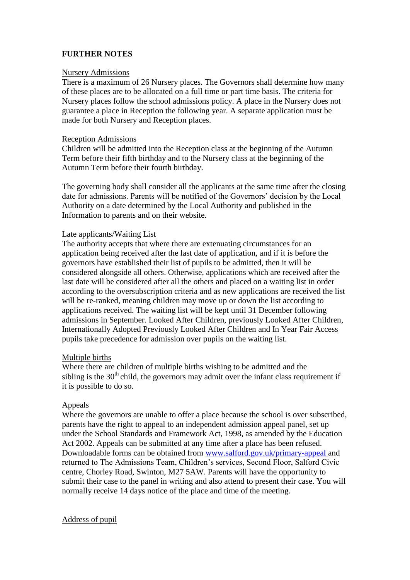# **FURTHER NOTES**

### Nursery Admissions

There is a maximum of 26 Nursery places. The Governors shall determine how many of these places are to be allocated on a full time or part time basis. The criteria for Nursery places follow the school admissions policy. A place in the Nursery does not guarantee a place in Reception the following year. A separate application must be made for both Nursery and Reception places.

### Reception Admissions

Children will be admitted into the Reception class at the beginning of the Autumn Term before their fifth birthday and to the Nursery class at the beginning of the Autumn Term before their fourth birthday.

The governing body shall consider all the applicants at the same time after the closing date for admissions. Parents will be notified of the Governors' decision by the Local Authority on a date determined by the Local Authority and published in the Information to parents and on their website.

## Late applicants/Waiting List

The authority accepts that where there are extenuating circumstances for an application being received after the last date of application, and if it is before the governors have established their list of pupils to be admitted, then it will be considered alongside all others. Otherwise, applications which are received after the last date will be considered after all the others and placed on a waiting list in order according to the oversubscription criteria and as new applications are received the list will be re-ranked, meaning children may move up or down the list according to applications received. The waiting list will be kept until 31 December following admissions in September. Looked After Children, previously Looked After Children, Internationally Adopted Previously Looked After Children and In Year Fair Access pupils take precedence for admission over pupils on the waiting list.

#### Multiple births

Where there are children of multiple births wishing to be admitted and the sibling is the  $30<sup>th</sup>$  child, the governors may admit over the infant class requirement if it is possible to do so.

## Appeals

Where the governors are unable to offer a place because the school is over subscribed, parents have the right to appeal to an independent admission appeal panel, set up under the School Standards and Framework Act, 1998, as amended by the Education Act 2002. Appeals can be submitted at any time after a place has been refused. Downloadable forms can be obtained from [www.salford.gov.uk/primary-appeal](http://www.salford.gov.uk/primary-appeal) and returned to The Admissions Team, Children's services, Second Floor, Salford Civic centre, Chorley Road, Swinton, M27 5AW. Parents will have the opportunity to submit their case to the panel in writing and also attend to present their case. You will normally receive 14 days notice of the place and time of the meeting.

#### Address of pupil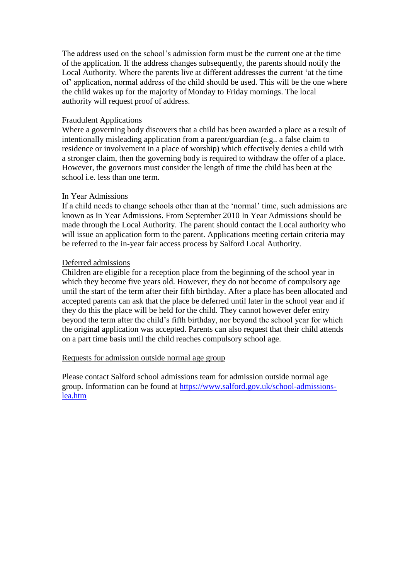The address used on the school's admission form must be the current one at the time of the application. If the address changes subsequently, the parents should notify the Local Authority. Where the parents live at different addresses the current 'at the time of' application, normal address of the child should be used. This will be the one where the child wakes up for the majority of Monday to Friday mornings. The local authority will request proof of address.

### Fraudulent Applications

Where a governing body discovers that a child has been awarded a place as a result of intentionally misleading application from a parent/guardian (e.g.. a false claim to residence or involvement in a place of worship) which effectively denies a child with a stronger claim, then the governing body is required to withdraw the offer of a place. However, the governors must consider the length of time the child has been at the school i.e. less than one term.

### In Year Admissions

If a child needs to change schools other than at the 'normal' time, such admissions are known as In Year Admissions. From September 2010 In Year Admissions should be made through the Local Authority. The parent should contact the Local authority who will issue an application form to the parent. Applications meeting certain criteria may be referred to the in-year fair access process by Salford Local Authority.

### Deferred admissions

Children are eligible for a reception place from the beginning of the school year in which they become five years old. However, they do not become of compulsory age until the start of the term after their fifth birthday. After a place has been allocated and accepted parents can ask that the place be deferred until later in the school year and if they do this the place will be held for the child. They cannot however defer entry beyond the term after the child's fifth birthday, nor beyond the school year for which the original application was accepted. Parents can also request that their child attends on a part time basis until the child reaches compulsory school age.

#### Requests for admission outside normal age group

Please contact Salford school admissions team for admission outside normal age group. Information can be found at [https://www.salford.gov.uk/school-admissions](https://www.salford.gov.uk/school-admissions-lea.htm)[lea.htm](https://www.salford.gov.uk/school-admissions-lea.htm)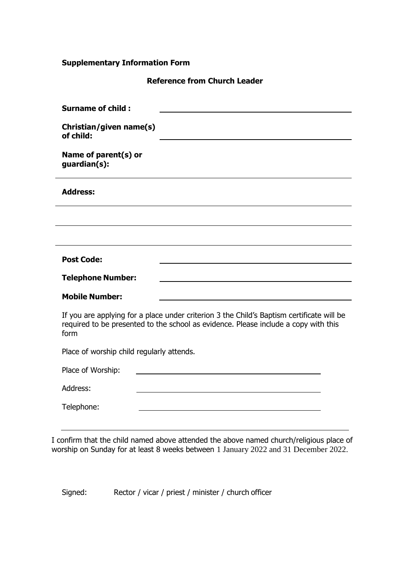# **Supplementary Information Form**

**Reference from Church Leader**

| <b>Surname of child:</b>                                                                                                                                                                 |
|------------------------------------------------------------------------------------------------------------------------------------------------------------------------------------------|
| Christian/given name(s)<br>of child:                                                                                                                                                     |
| Name of parent(s) or<br>guardian(s):                                                                                                                                                     |
| <b>Address:</b>                                                                                                                                                                          |
|                                                                                                                                                                                          |
|                                                                                                                                                                                          |
| <b>Post Code:</b>                                                                                                                                                                        |
| <b>Telephone Number:</b>                                                                                                                                                                 |
| <b>Mobile Number:</b>                                                                                                                                                                    |
| If you are applying for a place under criterion 3 the Child's Baptism certificate will be<br>required to be presented to the school as evidence. Please include a copy with this<br>form |
| Place of worship child regularly attends.                                                                                                                                                |
| Place of Worship:                                                                                                                                                                        |
| Address:                                                                                                                                                                                 |
| Telephone:                                                                                                                                                                               |
|                                                                                                                                                                                          |

I confirm that the child named above attended the above named church/religious place of worship on Sunday for at least 8 weeks between 1 January 2022 and 31 December 2022.

Signed: Rector / vicar / priest / minister / church officer